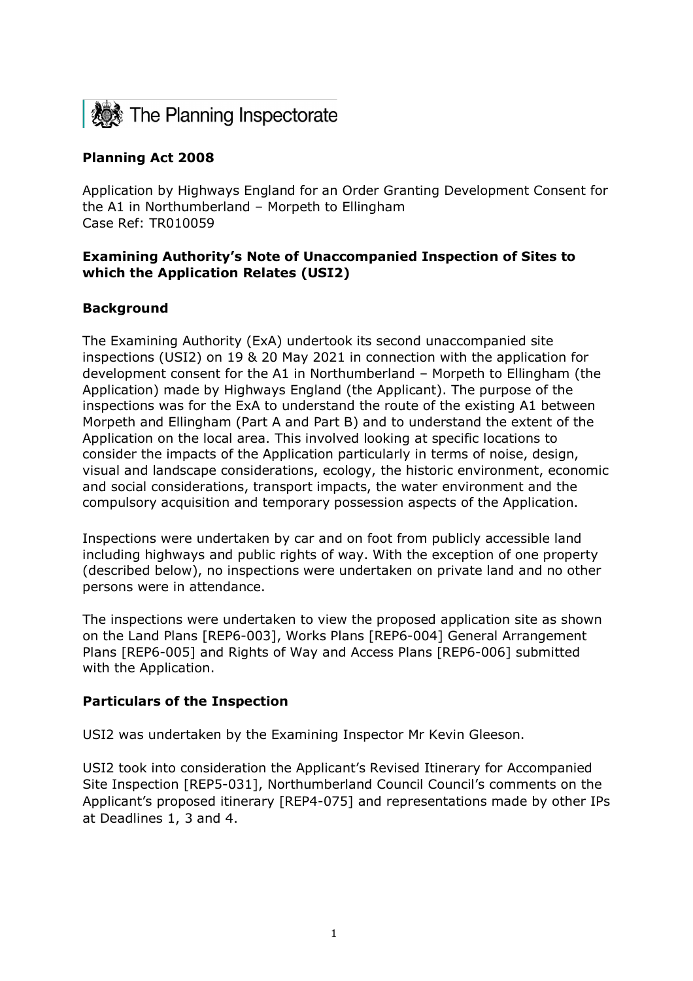

# **Planning Act 2008**

Application by Highways England for an Order Granting Development Consent for the A1 in Northumberland – Morpeth to Ellingham Case Ref: TR010059

## **Examining Authority's Note of Unaccompanied Inspection of Sites to which the Application Relates (USI2)**

## **Background**

The Examining Authority (ExA) undertook its second unaccompanied site inspections (USI2) on 19 & 20 May 2021 in connection with the application for development consent for the A1 in Northumberland – Morpeth to Ellingham (the Application) made by Highways England (the Applicant). The purpose of the inspections was for the ExA to understand the route of the existing A1 between Morpeth and Ellingham (Part A and Part B) and to understand the extent of the Application on the local area. This involved looking at specific locations to consider the impacts of the Application particularly in terms of noise, design, visual and landscape considerations, ecology, the historic environment, economic and social considerations, transport impacts, the water environment and the compulsory acquisition and temporary possession aspects of the Application.

Inspections were undertaken by car and on foot from publicly accessible land including highways and public rights of way. With the exception of one property (described below), no inspections were undertaken on private land and no other persons were in attendance.

The inspections were undertaken to view the proposed application site as shown on the Land Plans [REP6-003], Works Plans [REP6-004] General Arrangement Plans [REP6-005] and Rights of Way and Access Plans [REP6-006] submitted with the Application.

#### **Particulars of the Inspection**

USI2 was undertaken by the Examining Inspector Mr Kevin Gleeson.

USI2 took into consideration the Applicant's Revised Itinerary for Accompanied Site Inspection [REP5-031], Northumberland Council Council's comments on the Applicant's proposed itinerary [REP4-075] and representations made by other IPs at Deadlines 1, 3 and 4.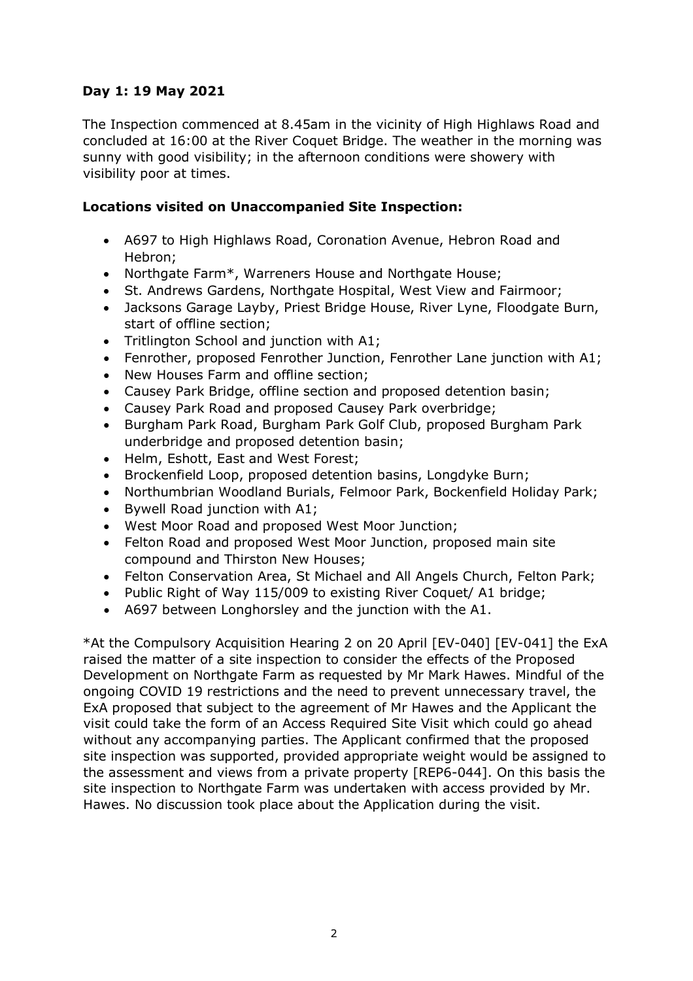## **Day 1: 19 May 2021**

The Inspection commenced at 8.45am in the vicinity of High Highlaws Road and concluded at 16:00 at the River Coquet Bridge. The weather in the morning was sunny with good visibility; in the afternoon conditions were showery with visibility poor at times.

#### **Locations visited on Unaccompanied Site Inspection:**

- A697 to High Highlaws Road, Coronation Avenue, Hebron Road and Hebron;
- Northgate Farm\*, Warreners House and Northgate House;
- St. Andrews Gardens, Northgate Hospital, West View and Fairmoor;
- Jacksons Garage Layby, Priest Bridge House, River Lyne, Floodgate Burn, start of offline section;
- Tritlington School and junction with A1;
- Fenrother, proposed Fenrother Junction, Fenrother Lane junction with A1;
- New Houses Farm and offline section;
- Causey Park Bridge, offline section and proposed detention basin;
- Causey Park Road and proposed Causey Park overbridge;
- Burgham Park Road, Burgham Park Golf Club, proposed Burgham Park underbridge and proposed detention basin;
- Helm, Eshott, East and West Forest;
- Brockenfield Loop, proposed detention basins, Longdyke Burn;
- Northumbrian Woodland Burials, Felmoor Park, Bockenfield Holiday Park;
- Bywell Road junction with A1;
- West Moor Road and proposed West Moor Junction;
- Felton Road and proposed West Moor Junction, proposed main site compound and Thirston New Houses;
- Felton Conservation Area, St Michael and All Angels Church, Felton Park;
- Public Right of Way 115/009 to existing River Coquet/ A1 bridge;
- A697 between Longhorsley and the junction with the A1.

\*At the Compulsory Acquisition Hearing 2 on 20 April [EV-040] [EV-041] the ExA raised the matter of a site inspection to consider the effects of the Proposed Development on Northgate Farm as requested by Mr Mark Hawes. Mindful of the ongoing COVID 19 restrictions and the need to prevent unnecessary travel, the ExA proposed that subject to the agreement of Mr Hawes and the Applicant the visit could take the form of an Access Required Site Visit which could go ahead without any accompanying parties. The Applicant confirmed that the proposed site inspection was supported, provided appropriate weight would be assigned to the assessment and views from a private property [REP6-044]. On this basis the site inspection to Northgate Farm was undertaken with access provided by Mr. Hawes. No discussion took place about the Application during the visit.